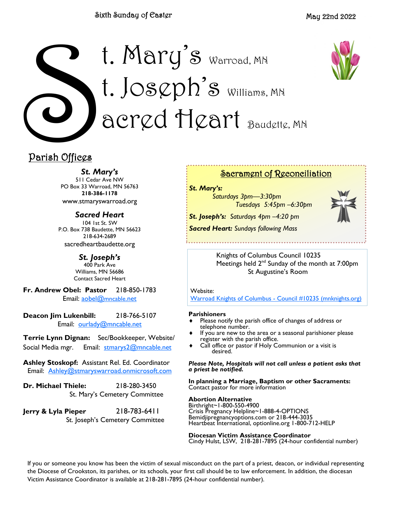### Sixth Sunday of Easter





## Parish Offices

*St. Mary's*

511 Cedar Ave NW PO Box 33 Warroad, MN 56763 **218-386-1178** www.stmaryswarroad.org

*Sacred Heart* 104 1st St. SW P.O. Box 738 Baudette, MN 56623 218-634-2689 sacredheartbaudette.org

> *St. Joseph's* 400 Park Ave Williams, MN 56686 Contact Sacred Heart

**Fr. Andrew Obel: Pastor** 218-850-1783 Email: [aobel@](mailto:%20aobel@mncable.net)mncable.net

**Deacon Jim Lukenbill:** 218-766-5107 Email: [ourlady@mncable.net](mailto:ourlady@mncable.net)

**Terrie Lynn Dignan:** Sec/Bookkeeper, Website/ Social Media mgr. Email: [stmarys2@mncable.net](mailto:%20Stmarys2@mncable.net)

**Ashley Stoskopf:** Assistant Rel. Ed. Coordinator Email: [Ashley@stmaryswarroad.onmicrosoft.com](mailto:%20Ashley@stmaryswarroad.onmicrosoft.com)

**Dr. Michael Thiele:** 218-280-3450 St. Mary's Cemetery Committee

**Jerry & Lyla Pieper** 218-783-6411 St. Joseph's Cemetery Committee

### Sacrament of Reconciliation

*St. Mary's:* 

*Saturdays 3pm—3:30pm Tuesdays 5:45pm –6:30pm*

*St. Joseph's: Saturdays 4pm –4:20 pm Sacred Heart: Sundays following Mass* 



Knights of Columbus Council 10235

Meetings held 2<sup>nd</sup> Sunday of the month at 7:00pm St Augustine's Room

Website:

[Warroad Knights of Columbus -](https://urldefense.com/v3/__https:/kc10235.mnknights.org/__;!!PkZFZeoa!vN_7KBQK7Exn-UymYA7_bA6v9ar8_rfWKmb14G7F9fAbYDjsCk-xaq0uAWywOH4$) Council #10235 (mnknights.org)

### **Parishioners**

- Please notify the parish office of changes of address or telephone number.
- If you are new to the area or a seasonal parishioner please register with the parish office.
- Call office or pastor if Holy Communion or a visit is desired.

*Please Note, Hospitals will not call unless a patient asks that a priest be notified.*

**In planning a Marriage, Baptism or other Sacraments:**  Contact pastor for more information

### **Abortion Alternative**

Birthright~1-800-550-4900 Crisis Pregnancy Helpline~1-888-4-OPTIONS Bemidjipregnancyoptions.com or 218-444-3035 Heartbeat International, optionline.org 1-800-712-HELP

**Diocesan Victim Assistance Coordinator** Cindy Hulst, LSW, 218-281-7895 (24-hour confidential number)

If you or someone you know has been the victim of sexual misconduct on the part of a priest, deacon, or individual representing the Diocese of Crookston, its parishes, or its schools, your first call should be to law enforcement. In addition, the diocesan Victim Assistance Coordinator is available at 218-281-7895 (24-hour confidential number).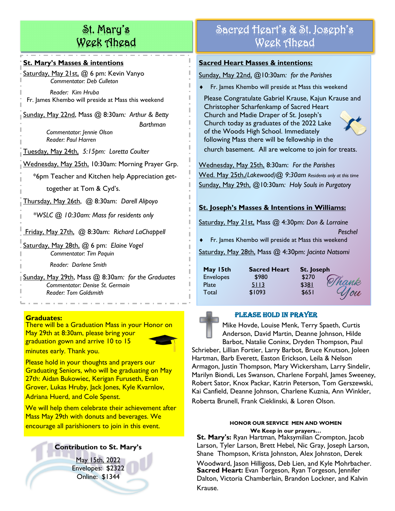# St. Mary's Week Ahead

### **St. Mary's Masses & intentions**

Saturday, May 21st, @ 6 pm: Kevin Vanyo *Commentator: Deb Culleton*

 *Reader: Kim Hruba* Fr. James Khembo will preside at Mass this weekend

Sunday, May 22nd, Mass @ 8:30am*: Arthur & Betty Barthman*

> *Commentator: Jennie Olson Reader: Paul Harren*

Tuesday, May 24th, *5:15pm: Loretta Coulter*

Wednesday, May 25th, 10:30am: Morning Prayer Grp.

\*6pm Teacher and Kitchen help Appreciation get-

together at Tom & Cyd's.

Thursday, May 26th, @ 8:30am: *Darell Alipoyo* 

 *\*WSLC @ 10:30am: Mass for residents only* 

Friday, May 27th, @ 8:30am: *Richard LaChappell*

Saturday, May 28th, @ 6 pm: *Elaine Vogel Commentator: Tim Paquin*

 *Reader: Darlene Smith*

Sunday, May 29th, Mass @ 8:30am*: for the Graduates Commentator: Denise St. Germain Reader: Tom Goldsmith*

### **Graduates:**

There will be a Graduation Mass in your Honor on May 29th at 8:30am, please bring your graduation gown and arrive 10 to 15 minutes early. Thank you.



Please hold in your thoughts and prayers our Graduating Seniors, who will be graduating on May 27th: Aidan Bukowiec, Kerigan Furuseth, Evan Grover, Lukas Hruby, Jack Jones, Kyle Kvarnlov, Adriana Huerd, and Cole Spenst.

We will help them celebrate their achievement after Mass May 29th with donuts and beverages. We encourage all parishioners to join in this event. **HETA** HONOR OUR SERVICE MEN AND WOMEN

### **Contribution to St. Mary's**

May 15th, 2022 Envelopes: \$2322 Online: \$1344

# Sacred Heart's & St. Joseph's Week Ahead

### **Sacred Heart Masses & intentions:**

Sunday, May 22nd, @10:30am*: for the Parishes*

Fr. James Khembo will preside at Mass this weekend

Please Congratulate Gabriel Krause, Kajun Krause and Christopher Scharfenkamp of Sacred Heart Church and Madie Draper of St. Joseph's Church today as graduates of the 2022 Lake of the Woods High School. Immediately following Mass there will be fellowship in the church basement. All are welcome to join for treats.

Wednesday, May 25th, 8:30am: *For the Parishes* Wed. May 25th,*(Lakewood)@ 9:30am Residents only at this time* Sunday, May 29th, @10:30am*: Holy Souls in Purgatory*

### **St. Joseph's Masses & Intentions in Williams:**

Saturday, May 21st, Mass @ 4:30pm: *Don & Lorraine* 

*Peschel* Fr. James Khembo will preside at Mass this weekend

Saturday, May 28th, Mass @ 4:30pm: *Jacinta Natsomi*

| May 15th         | <b>Sacred Heart</b> | St. Joseph |       |
|------------------|---------------------|------------|-------|
| <b>Envelopes</b> | \$980               | \$270      | Thank |
| Plate            | 5113                | \$381      |       |
| Total            | \$1093              | \$651      | Nou   |



### Please Hold in Prayer

Mike Hovde, Louise Menk, Terry Spaeth, Curtis Anderson, David Martin, Deanne Johnson, Hilde Barbot, Natalie Coninx, Dryden Thompson, Paul

Schrieber, Lillian Fortier, Larry Barbot, Bruce Knutson, Joleen Hartman, Barb Everett, Easton Erickson, Leila & Nelson Armagon, Justin Thompson, Mary Wickersham, Larry Sindelir, Marilyn Biondi, Les Swanson, Charlene Forpahl, James Sweeney, Robert Sator, Knox Packar, Katrin Peterson, Tom Gerszewski, Kai Canfield, Deanne Johnson, Charlene Kuznia, Ann Winkler,

Roberta Brunell, Frank Cieklinski, & Loren Olson.

# **We Keep in our prayers…**

**St. Mary's:** Ryan Hartman, Maksymilian Crompton, Jacob Larson, Tyler Larson, Brett Hebel, Nic Gray, Joseph Larson, Shane Thompson, Krista Johnston, Alex Johnston, Derek Woodward, Jason Hilligoss, Deb Lien, and Kyle Mohrbacher. **Sacred Heart:** Evan Torgeson, Ryan Torgeson, Jennifer Dalton, Victoria Chamberlain, Brandon Lockner, and Kalvin Krause.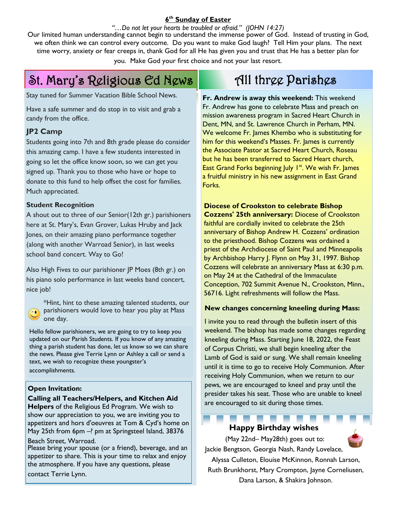### **6 th Sunday of Easter**

### *"…Do not let your hearts be troubled or afraid." (JOHN 14:27)*

Our limited human understanding cannot begin to understand the immense power of God. Instead of trusting in God, we often think we can control every outcome. Do you want to make God laugh? Tell Him your plans. The next time worry, anxiety or fear creeps in, thank God for all He has given you and trust that He has a better plan for you. Make God your first choice and not your last resort.

# St. Mary's Religious Ed News **All three Parishes**

Stay tuned for Summer Vacation Bible School News.

Have a safe summer and do stop in to visit and grab a candy from the office.

### **JP2 Camp**

Students going into 7th and 8th grade please do consider this amazing camp. I have a few students interested in going so let the office know soon, so we can get you signed up. Thank you to those who have or hope to donate to this fund to help offset the cost for families. Much appreciated.

### **Student Recognition**

A shout out to three of our Senior(12th gr.) parishioners here at St. Mary's, Evan Grover, Lukas Hruby and Jack Jones, on their amazing piano performance together (along with another Warroad Senior), in last weeks school band concert. Way to Go!

Also High Fives to our parishioner JP Moes (8th gr.) on his piano solo performance in last weeks band concert, nice job!

\*Hint, hint to these amazing talented students, our **Parishioners would love to hear you play at Mass** one day.

Hello fellow parishioners, we are going to try to keep you updated on our Parish Students. If you know of any amazing thing a parish student has done, let us know so we can share the news. Please give Terrie Lynn or Ashley a call or send a text, we wish to recognize these youngster's accomplishments.

### **Open Invitation:**

### **Calling all Teachers/Helpers, and Kitchen Aid**

**Helpers** of the Religious Ed Program. We wish to show our appreciation to you, we are inviting you to appetizers and hors d'oeuvres at Tom & Cyd's home on May 25th from 6pm -? pm at Springsteel Island, 38376

Beach Street, Warroad.

Please bring your spouse (or a friend), beverage, and an appetizer to share. This is your time to relax and enjoy the atmosphere. If you have any questions, please contact Terrie Lynn.

**Fr. Andrew is away this weekend:** This weekend Fr. Andrew has gone to celebrate Mass and preach on mission awareness program in Sacred Heart Church in Dent, MN, and St. Lawrence Church in Perham, MN. We welcome Fr. James Khembo who is substituting for him for this weekend's Masses. Fr. James is currently the Associate Pastor at Sacred Heart Church, Roseau but he has been transferred to Sacred Heart church, East Grand Forks beginning July  $1<sup>st</sup>$ . We wish Fr. James a fruitful ministry in his new assignment in East Grand Forks.

**Diocese of Crookston to celebrate Bishop Cozzens' 25th anniversary:** Diocese of Crookston faithful are cordially invited to celebrate the 25th anniversary of Bishop Andrew H. Cozzens' ordination to the priesthood. Bishop Cozzens was ordained a priest of the Archdiocese of Saint Paul and Minneapolis by Archbishop Harry J. Flynn on May 31, 1997. Bishop Cozzens will celebrate an anniversary Mass at 6:30 p.m. on May 24 at the Cathedral of the Immaculate Conception, 702 Summit Avenue N., Crookston, Minn., 56716. Light refreshments will follow the Mass.

### **New changes concerning kneeling during Mass:**

I invite you to read through the bulletin insert of this weekend. The bishop has made some changes regarding kneeling during Mass. Starting June 18, 2022, the Feast of Corpus Christi, we shall begin kneeling after the Lamb of God is said or sung. We shall remain kneeling until it is time to go to receive Holy Communion. After receiving Holy Communion, when we return to our pews, we are encouraged to kneel and pray until the presider takes his seat. Those who are unable to kneel are encouraged to sit during those times.

### **Happy Birthday wishes**

(May 22nd– May28th) goes out to: Jackie Bengtson, Georgia Nash, Randy Lovelace,

Alyssa Culleton, Elouise McKinnon, Ronnah Larson, Ruth Brunkhorst, Mary Crompton, Jayne Corneliusen,

Dana Larson, & Shakira Johnson.